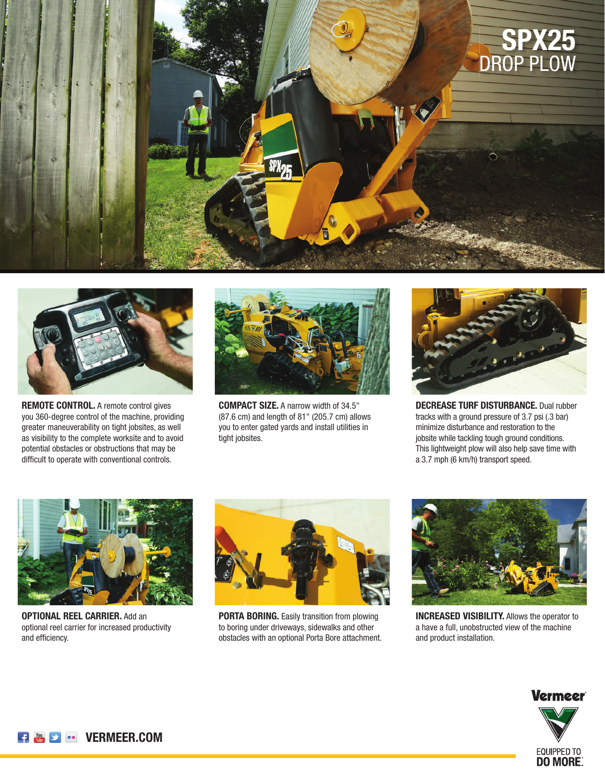



**REMOTE CONTROL.** A remote control gives you 360-degree control of the machine, providing greater maneuverability on tight jobsites, as well as visibility to the complete worksite and to avoid potential obstacles or obstructions that may be difficult to operate with conventional controls.



**COMPACT SIZE.** A narrow width of 34.5" (87.6 cm) and length of 81" (205.7 cm) allows you to enter gated yards and install utilities in tight jobsites.



**DECREASE TURF DISTURBANCE.** Dual rubber tracks with a ground pressure of 3.7 psi (.3 bar) minimize disturbance and restoration to the jobsite while tackling tough ground conditions. This lightweight plow will also help save time with a 3.7 mph (6 km/h) transport speed.



**OPTIONAL REEL CARRIER.** Add an optional reel carrier for increased productivity and efficiency.



**PORTA BORING.** Easily transition from plowing to boring under driveways, sidewalks and other obstacles with an optional Porta Bore attachment.



**INCREASED VISIBILITY.** Allows the operator to a have a full, unobstructed view of the machine and product installation.